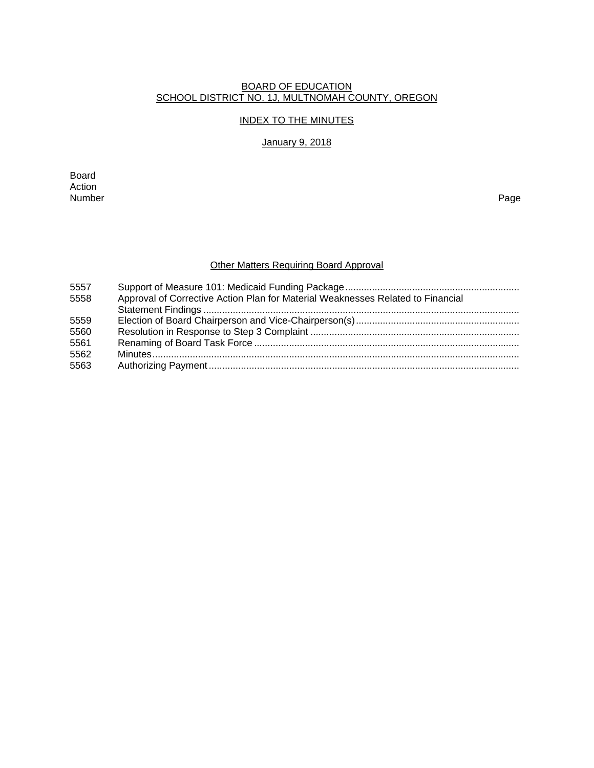#### BOARD OF EDUCATION SCHOOL DISTRICT NO. 1J, MULTNOMAH COUNTY, OREGON

### INDEX TO THE MINUTES

# January 9, 2018

Board Action<br>Number Number Page

# Other Matters Requiring Board Approval

| 5557 |                                                                                 |
|------|---------------------------------------------------------------------------------|
| 5558 | Approval of Corrective Action Plan for Material Weaknesses Related to Financial |
|      |                                                                                 |
| 5559 |                                                                                 |
| 5560 |                                                                                 |
| 5561 |                                                                                 |
| 5562 |                                                                                 |
| 5563 |                                                                                 |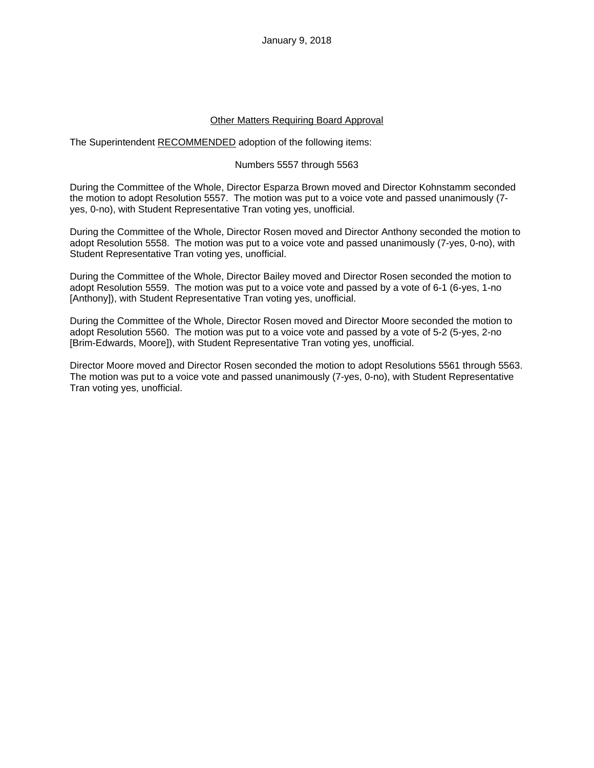#### Other Matters Requiring Board Approval

The Superintendent RECOMMENDED adoption of the following items:

### Numbers 5557 through 5563

During the Committee of the Whole, Director Esparza Brown moved and Director Kohnstamm seconded the motion to adopt Resolution 5557. The motion was put to a voice vote and passed unanimously (7 yes, 0-no), with Student Representative Tran voting yes, unofficial.

During the Committee of the Whole, Director Rosen moved and Director Anthony seconded the motion to adopt Resolution 5558. The motion was put to a voice vote and passed unanimously (7-yes, 0-no), with Student Representative Tran voting yes, unofficial.

During the Committee of the Whole, Director Bailey moved and Director Rosen seconded the motion to adopt Resolution 5559. The motion was put to a voice vote and passed by a vote of 6-1 (6-yes, 1-no [Anthony]), with Student Representative Tran voting yes, unofficial.

During the Committee of the Whole, Director Rosen moved and Director Moore seconded the motion to adopt Resolution 5560. The motion was put to a voice vote and passed by a vote of 5-2 (5-yes, 2-no [Brim-Edwards, Moore]), with Student Representative Tran voting yes, unofficial.

Director Moore moved and Director Rosen seconded the motion to adopt Resolutions 5561 through 5563. The motion was put to a voice vote and passed unanimously (7-yes, 0-no), with Student Representative Tran voting yes, unofficial.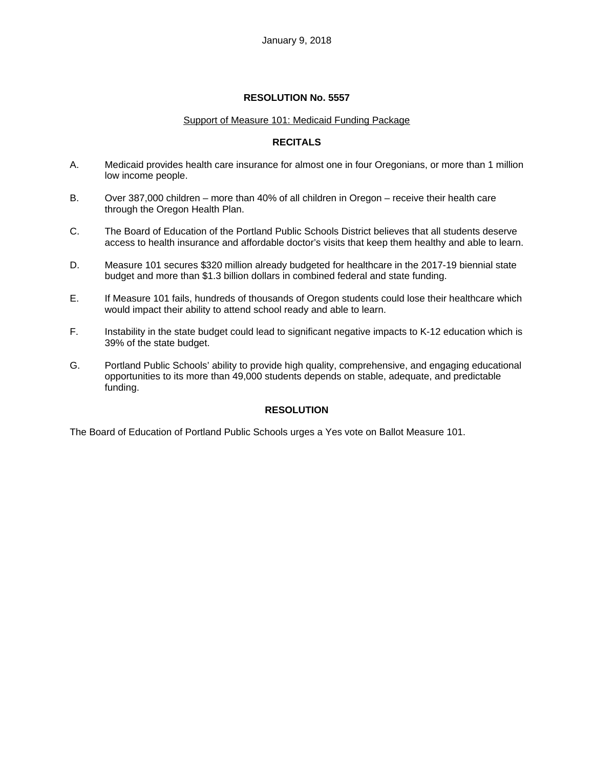#### Support of Measure 101: Medicaid Funding Package

## **RECITALS**

- A. Medicaid provides health care insurance for almost one in four Oregonians, or more than 1 million low income people.
- B. Over 387,000 children more than 40% of all children in Oregon receive their health care through the Oregon Health Plan.
- C. The Board of Education of the Portland Public Schools District believes that all students deserve access to health insurance and affordable doctor's visits that keep them healthy and able to learn.
- D. Measure 101 secures \$320 million already budgeted for healthcare in the 2017-19 biennial state budget and more than \$1.3 billion dollars in combined federal and state funding.
- E. If Measure 101 fails, hundreds of thousands of Oregon students could lose their healthcare which would impact their ability to attend school ready and able to learn.
- F. Instability in the state budget could lead to significant negative impacts to K-12 education which is 39% of the state budget.
- G. Portland Public Schools' ability to provide high quality, comprehensive, and engaging educational opportunities to its more than 49,000 students depends on stable, adequate, and predictable funding.

## **RESOLUTION**

The Board of Education of Portland Public Schools urges a Yes vote on Ballot Measure 101.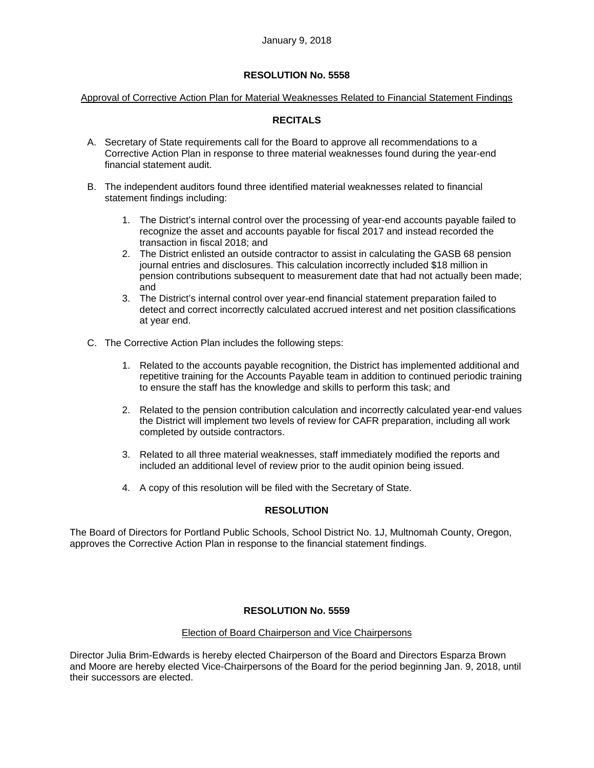#### Approval of Corrective Action Plan for Material Weaknesses Related to Financial Statement Findings

## **RECITALS**

- A. Secretary of State requirements call for the Board to approve all recommendations to a Corrective Action Plan in response to three material weaknesses found during the year-end financial statement audit.
- B. The independent auditors found three identified material weaknesses related to financial statement findings including:
	- 1. The District's internal control over the processing of year-end accounts payable failed to recognize the asset and accounts payable for fiscal 2017 and instead recorded the transaction in fiscal 2018; and
	- 2. The District enlisted an outside contractor to assist in calculating the GASB 68 pension journal entries and disclosures. This calculation incorrectly included \$18 million in pension contributions subsequent to measurement date that had not actually been made; and
	- 3. The District's internal control over year-end financial statement preparation failed to detect and correct incorrectly calculated accrued interest and net position classifications at year end.
- C. The Corrective Action Plan includes the following steps:
	- 1. Related to the accounts payable recognition, the District has implemented additional and repetitive training for the Accounts Payable team in addition to continued periodic training to ensure the staff has the knowledge and skills to perform this task; and
	- 2. Related to the pension contribution calculation and incorrectly calculated year-end values the District will implement two levels of review for CAFR preparation, including all work completed by outside contractors.
	- 3. Related to all three material weaknesses, staff immediately modified the reports and included an additional level of review prior to the audit opinion being issued.
	- 4. A copy of this resolution will be filed with the Secretary of State.

## **RESOLUTION**

The Board of Directors for Portland Public Schools, School District No. 1J, Multnomah County, Oregon, approves the Corrective Action Plan in response to the financial statement findings.

#### **RESOLUTION No. 5559**

#### Election of Board Chairperson and Vice Chairpersons

Director Julia Brim-Edwards is hereby elected Chairperson of the Board and Directors Esparza Brown and Moore are hereby elected Vice-Chairpersons of the Board for the period beginning Jan. 9, 2018, until their successors are elected.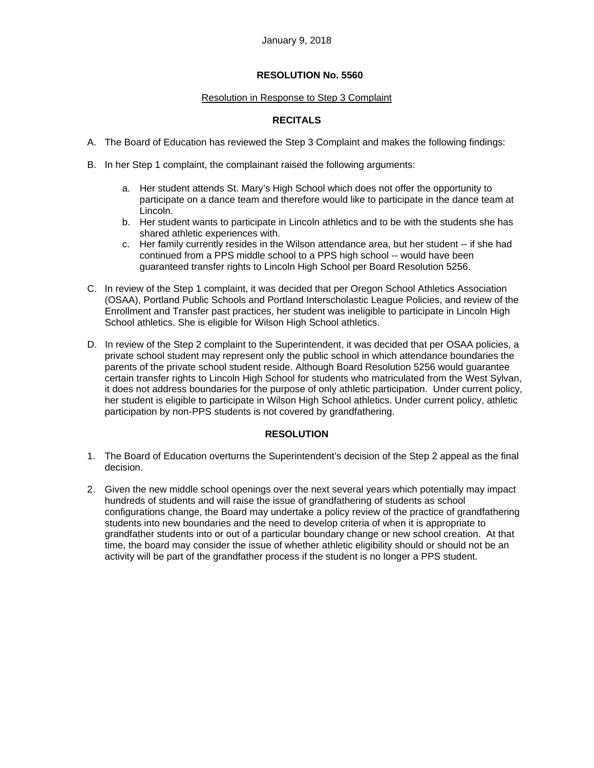#### Resolution in Response to Step 3 Complaint

# **RECITALS**

- A. The Board of Education has reviewed the Step 3 Complaint and makes the following findings:
- B. In her Step 1 complaint, the complainant raised the following arguments:
	- a. Her student attends St. Mary's High School which does not offer the opportunity to participate on a dance team and therefore would like to participate in the dance team at Lincoln.
	- b. Her student wants to participate in Lincoln athletics and to be with the students she has shared athletic experiences with.
	- c. Her family currently resides in the Wilson attendance area, but her student -- if she had continued from a PPS middle school to a PPS high school -- would have been guaranteed transfer rights to Lincoln High School per Board Resolution 5256.
- C. In review of the Step 1 complaint, it was decided that per Oregon School Athletics Association (OSAA), Portland Public Schools and Portland Interscholastic League Policies, and review of the Enrollment and Transfer past practices, her student was ineligible to participate in Lincoln High School athletics. She is eligible for Wilson High School athletics.
- D. In review of the Step 2 complaint to the Superintendent, it was decided that per OSAA policies, a private school student may represent only the public school in which attendance boundaries the parents of the private school student reside. Although Board Resolution 5256 would guarantee certain transfer rights to Lincoln High School for students who matriculated from the West Sylvan, it does not address boundaries for the purpose of only athletic participation. Under current policy, her student is eligible to participate in Wilson High School athletics. Under current policy, athletic participation by non-PPS students is not covered by grandfathering.

## **RESOLUTION**

- 1. The Board of Education overturns the Superintendent's decision of the Step 2 appeal as the final decision.
- 2. Given the new middle school openings over the next several years which potentially may impact hundreds of students and will raise the issue of grandfathering of students as school configurations change, the Board may undertake a policy review of the practice of grandfathering students into new boundaries and the need to develop criteria of when it is appropriate to grandfather students into or out of a particular boundary change or new school creation. At that time, the board may consider the issue of whether athletic eligibility should or should not be an activity will be part of the grandfather process if the student is no longer a PPS student.